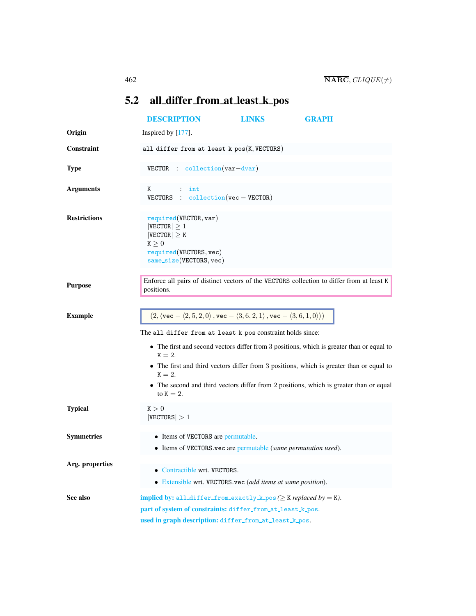## <span id="page-0-0"></span>5.2 all differ from at least k pos

<span id="page-0-1"></span>

|                                                            | <b>DESCRIPTION</b>                                                                                                                          | LINKS | <b>GRAPH</b>                                                                              |  |
|------------------------------------------------------------|---------------------------------------------------------------------------------------------------------------------------------------------|-------|-------------------------------------------------------------------------------------------|--|
| Origin                                                     | Inspired by [177].                                                                                                                          |       |                                                                                           |  |
| Constraint                                                 | all_differ_from_at_least_k_pos(K,VECTORS)                                                                                                   |       |                                                                                           |  |
| <b>Type</b>                                                | VECTOR : collection (var-dvar)                                                                                                              |       |                                                                                           |  |
| <b>Arguments</b>                                           | Κ<br>int<br>VECTORS : $\text{collection}(vec - VECTOR)$                                                                                     |       |                                                                                           |  |
| <b>Restrictions</b>                                        | required(VECTOR, var)<br>$ {\tt VECTOR}  \geq 1$<br>$ {\tt VECTOR}  \geq K$<br>K > 0<br>required(VECTORS, vec)<br>$same_size(VECTORS, vec)$ |       |                                                                                           |  |
| <b>Purpose</b>                                             | positions.                                                                                                                                  |       | Enforce all pairs of distinct vectors of the VECTORS collection to differ from at least K |  |
| <b>Example</b>                                             | $(2, \langle \text{vec} - \langle 2, 5, 2, 0 \rangle, \text{vec} - \langle 3, 6, 2, 1 \rangle, \text{vec} - \langle 3, 6, 1, 0 \rangle)$    |       |                                                                                           |  |
| The all_differ_from_at_least_k_pos constraint holds since: |                                                                                                                                             |       |                                                                                           |  |
|                                                            | $K = 2$ .                                                                                                                                   |       | • The first and second vectors differ from 3 positions, which is greater than or equal to |  |
|                                                            | $K=2.$                                                                                                                                      |       | • The first and third vectors differ from 3 positions, which is greater than or equal to  |  |
|                                                            | to $K = 2$ .                                                                                                                                |       | • The second and third vectors differ from 2 positions, which is greater than or equal    |  |
| <b>Typical</b>                                             | K > 0<br> VECTORS  > 1                                                                                                                      |       |                                                                                           |  |
| <b>Symmetries</b>                                          | • Items of VECTORS are permutable.                                                                                                          |       |                                                                                           |  |
|                                                            | • Items of VECTORS vec are permutable (same permutation used).                                                                              |       |                                                                                           |  |
| Arg. properties                                            |                                                                                                                                             |       |                                                                                           |  |
|                                                            | • Contractible wrt. VECTORS.<br>• Extensible wrt. VECTORS.vec (add items at same position).                                                 |       |                                                                                           |  |
|                                                            |                                                                                                                                             |       |                                                                                           |  |
| See also                                                   | implied by: all_differ_from_exactly_k_pos( $\geq$ K replaced by = K).<br>part of system of constraints: differ_from_at_least_k_pos.         |       |                                                                                           |  |
|                                                            | used in graph description: differ_from_at_least_k_pos.                                                                                      |       |                                                                                           |  |
|                                                            |                                                                                                                                             |       |                                                                                           |  |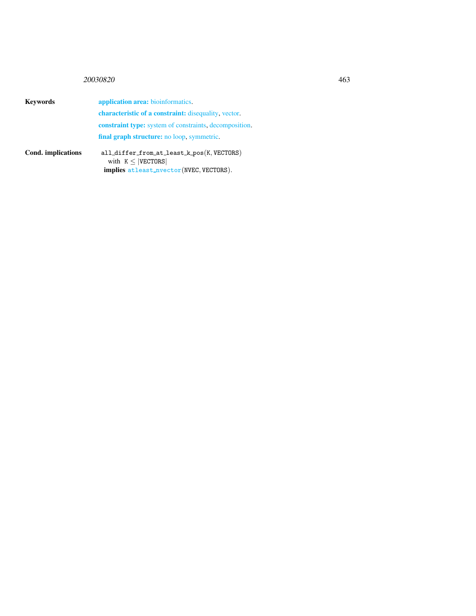## <sup>20030820</sup> 463

Keywords application area: bioinformatics. characteristic of a constraint: disequality, vector. constraint type: system of constraints, decomposition. final graph structure: no loop, symmetric. Cond. implications all differ from at least k pos(K, VECTORS) with  $K \leq |VECTORS|$ implies atleast nvector(NVEC, VECTORS).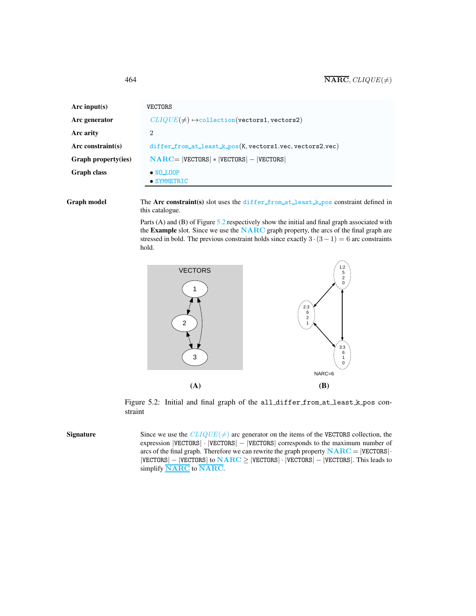| Arc input(s)               | VECTORS                                                    |  |  |
|----------------------------|------------------------------------------------------------|--|--|
| Arc generator              | $CLIQUE(\neq) \rightarrow collection( vectors1, vectors2)$ |  |  |
| Arc arity                  | 2                                                          |  |  |
| Arc constraint(s)          | differ_from_at_least_k_pos(K, vectors1.vec, vectors2.vec)  |  |  |
| <b>Graph property(ies)</b> | $NARC =  VECTORS  *  VECTORS  -  VECTORS $                 |  |  |
| <b>Graph class</b>         | $\bullet$ NO LOOP<br>$\bullet$ SYMMETRIC                   |  |  |
|                            |                                                            |  |  |

Graph model The Arc constraint(s) slot uses the differ from at least k pos constraint defined in this catalogue.

> Parts (A) and (B) of Figure [5.2](#page-2-1) respectively show the initial and final graph associated with the Example slot. Since we use the NARC graph property, the arcs of the final graph are stressed in bold. The previous constraint holds since exactly  $3 \cdot (3-1) = 6$  arc constraints hold.



<span id="page-2-1"></span>Figure 5.2: Initial and final graph of the all differ from at least k pos constraint

**Signature** Since we use the  $CLIQUE(\neq)$  arc generator on the items of the VECTORS collection, the expression |VECTORS| · |VECTORS| − |VECTORS| corresponds to the maximum number of arcs of the final graph. Therefore we can rewrite the graph property  $NARC = |VECTORS|$ . |VECTORS| − |VECTORS| to NARC ≥ |VECTORS| · |VECTORS| − |VECTORS|. This leads to simplify **NARC** to **NARC**.

<span id="page-2-0"></span>